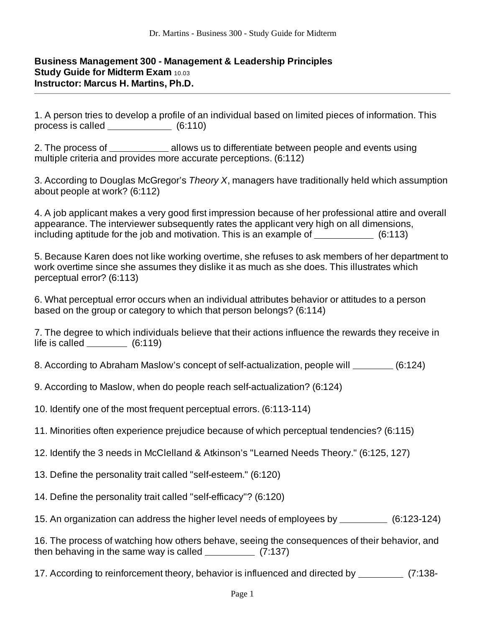## **Business Management 300 - Management & Leadership Principles Study Guide for Midterm Exam 10.03 Instructor: Marcus H. Martins, Ph.D.**

1. A person tries to develop a profile of an individual based on limited pieces of information. This process is called  $(6:110)$ 

2. The process of allows us to differentiate between people and events using multiple criteria and provides more accurate perceptions. (6:112)

3. According to Douglas McGregor's *Theory X*, managers have traditionally held which assumption about people at work? (6:112)

4. A job applicant makes a very good first impression because of her professional attire and overall appearance. The interviewer subsequently rates the applicant very high on all dimensions, including aptitude for the job and motivation. This is an example of  $\sim$  (6:113)

5. Because Karen does not like working overtime, she refuses to ask members of her department to work overtime since she assumes they dislike it as much as she does. This illustrates which perceptual error? (6:113)

6. What perceptual error occurs when an individual attributes behavior or attitudes to a person based on the group or category to which that person belongs? (6:114)

|                | 7. The degree to which individuals believe that their actions influence the rewards they receive in |
|----------------|-----------------------------------------------------------------------------------------------------|
| life is called | (6:119)                                                                                             |

8. According to Abraham Maslow's concept of self-actualization, people will \_\_\_\_\_\_\_\_\_ (6:124)

9. According to Maslow, when do people reach self-actualization? (6:124)

10. Identify one of the most frequent perceptual errors. (6:113-114)

11. Minorities often experience prejudice because of which perceptual tendencies? (6:115)

12. Identify the 3 needs in McClelland & Atkinson's "Learned Needs Theory." (6:125, 127)

13. Define the personality trait called "self-esteem." (6:120)

14. Define the personality trait called "self-efficacy"? (6:120)

15. An organization can address the higher level needs of employees by (6:123-124)

16. The process of watching how others behave, seeing the consequences of their behavior, and then behaving in the same way is called  $(7:137)$ 

17. According to reinforcement theory, behavior is influenced and directed by \_\_\_\_\_\_\_\_\_\_ (7:138-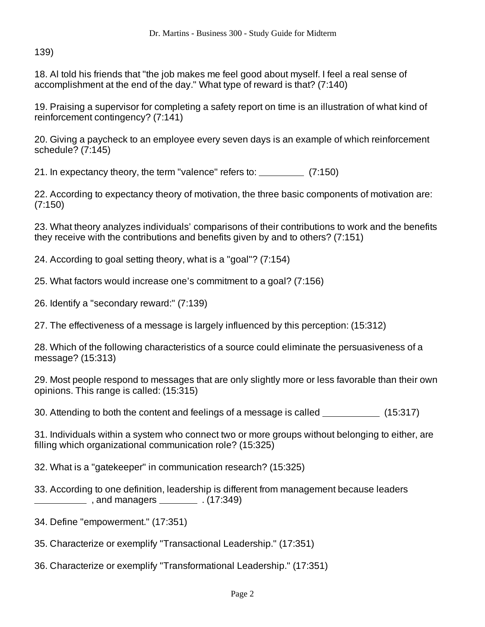139)

18. Al told his friends that "the job makes me feel good about myself. I feel a real sense of accomplishment at the end of the day." What type of reward is that? (7:140)

19. Praising a supervisor for completing a safety report on time is an illustration of what kind of reinforcement contingency? (7:141)

20. Giving a paycheck to an employee every seven days is an example of which reinforcement schedule? (7:145)

21. In expectancy theory, the term "valence" refers to:  $\frac{1}{2}$  (7:150)

22. According to expectancy theory of motivation, the three basic components of motivation are: (7:150)

23. What theory analyzes individuals' comparisons of their contributions to work and the benefits they receive with the contributions and benefits given by and to others? (7:151)

24. According to goal setting theory, what is a "goal"? (7:154)

25. What factors would increase one's commitment to a goal? (7:156)

26. Identify a "secondary reward:" (7:139)

27. The effectiveness of a message is largely influenced by this perception: (15:312)

28. Which of the following characteristics of a source could eliminate the persuasiveness of a message? (15:313)

29. Most people respond to messages that are only slightly more or less favorable than their own opinions. This range is called: (15:315)

30. Attending to both the content and feelings of a message is called \_\_\_\_\_\_\_\_\_\_\_\_ (15:317)

31. Individuals within a system who connect two or more groups without belonging to either, are filling which organizational communication role? (15:325)

32. What is a "gatekeeper" in communication research? (15:325)

33. According to one definition, leadership is different from management because leaders  $\frac{1}{17.349}$ , and managers  $\frac{1}{17.349}$ .

- 34. Define "empowerment." (17:351)
- 35. Characterize or exemplify "Transactional Leadership." (17:351)
- 36. Characterize or exemplify "Transformational Leadership." (17:351)